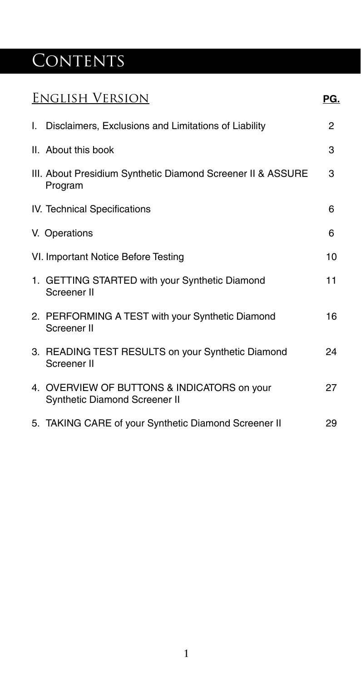# CONTENTS

| English Version |                                                                              |    |  |
|-----------------|------------------------------------------------------------------------------|----|--|
|                 | I. Disclaimers, Exclusions and Limitations of Liability                      | 2  |  |
|                 | II. About this book                                                          | 3  |  |
|                 | III. About Presidium Synthetic Diamond Screener II & ASSURE<br>Program       | 3  |  |
|                 | IV. Technical Specifications                                                 | 6  |  |
|                 | V. Operations                                                                | 6  |  |
|                 | VI. Important Notice Before Testing                                          | 10 |  |
|                 | 1. GETTING STARTED with your Synthetic Diamond<br>Screener II                | 11 |  |
|                 | 2. PERFORMING A TEST with your Synthetic Diamond<br>Screener II              | 16 |  |
|                 | 3. READING TEST RESULTS on your Synthetic Diamond<br>Screener II             | 24 |  |
|                 | 4. OVERVIEW OF BUTTONS & INDICATORS on your<br>Synthetic Diamond Screener II | 27 |  |
|                 | 5. TAKING CARE of your Synthetic Diamond Screener II                         | 29 |  |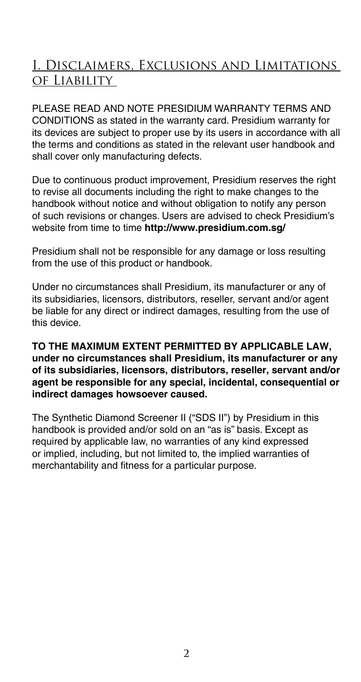### I. Disclaimers, Exclusions and Limitations of Liability

PLEASE READ AND NOTE PRESIDIUM WARRANTY TERMS AND CONDITIONS as stated in the warranty card. Presidium warranty for its devices are subject to proper use by its users in accordance with all the terms and conditions as stated in the relevant user handbook and shall cover only manufacturing defects.

Due to continuous product improvement, Presidium reserves the right to revise all documents including the right to make changes to the handbook without notice and without obligation to notify any person of such revisions or changes. Users are advised to check Presidium's website from time to time **http://www.presidium.com.sg/**

Presidium shall not be responsible for any damage or loss resulting from the use of this product or handbook.

Under no circumstances shall Presidium, its manufacturer or any of its subsidiaries, licensors, distributors, reseller, servant and/or agent be liable for any direct or indirect damages, resulting from the use of this device.

#### **TO THE MAXIMUM EXTENT PERMITTED BY APPLICABLE LAW, under no circumstances shall Presidium, its manufacturer or any of its subsidiaries, licensors, distributors, reseller, servant and/or agent be responsible for any special, incidental, consequential or indirect damages howsoever caused.**

The Synthetic Diamond Screener II ("SDS II") by Presidium in this handbook is provided and/or sold on an "as is" basis. Except as required by applicable law, no warranties of any kind expressed or implied, including, but not limited to, the implied warranties of merchantability and fitness for a particular purpose.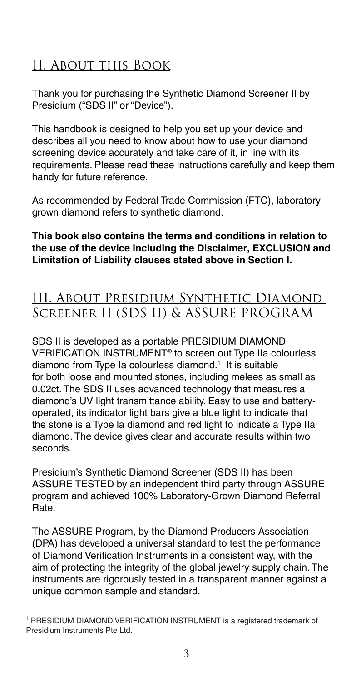### II. About this Book

Thank you for purchasing the Synthetic Diamond Screener II by Presidium ("SDS II" or "Device").

This handbook is designed to help you set up your device and describes all you need to know about how to use your diamond screening device accurately and take care of it, in line with its requirements. Please read these instructions carefully and keep them handy for future reference.

As recommended by Federal Trade Commission (FTC), laboratorygrown diamond refers to synthetic diamond.

#### **This book also contains the terms and conditions in relation to the use of the device including the Disclaimer, EXCLUSION and Limitation of Liability clauses stated above in Section I.**

### III. About Presidium Synthetic Diamond Screener II (SDS II) & ASSURE PROGRAM

SDS II is developed as a portable PRESIDIUM DIAMOND VERIFICATION INSTRUMENT® to screen out Type IIa colourless diamond from Type Ia colourless diamond.<sup>1</sup> It is suitable for both loose and mounted stones, including melees as small as 0.02ct. The SDS II uses advanced technology that measures a diamond's UV light transmittance ability. Easy to use and batteryoperated, its indicator light bars give a blue light to indicate that the stone is a Type la diamond and red light to indicate a Type IIa diamond. The device gives clear and accurate results within two seconds.

Presidium's Synthetic Diamond Screener (SDS II) has been ASSURE TESTED by an independent third party through ASSURE program and achieved 100% Laboratory-Grown Diamond Referral Rate.

The ASSURE Program, by the Diamond Producers Association (DPA) has developed a universal standard to test the performance of Diamond Verification Instruments in a consistent way, with the aim of protecting the integrity of the global jewelry supply chain. The instruments are rigorously tested in a transparent manner against a unique common sample and standard.

<sup>1</sup> PRESIDIUM DIAMOND VERIFICATION INSTRUMENT is a registered trademark of Presidium Instruments Pte Ltd.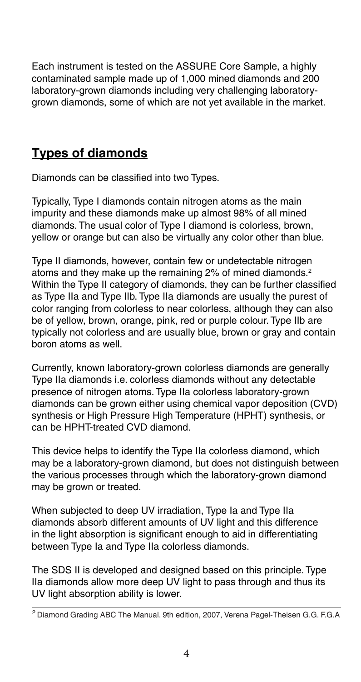Each instrument is tested on the ASSURE Core Sample, a highly contaminated sample made up of 1,000 mined diamonds and 200 laboratory-grown diamonds including very challenging laboratorygrown diamonds, some of which are not yet available in the market.

### **Types of diamonds**

Diamonds can be classified into two Types.

Typically, Type I diamonds contain nitrogen atoms as the main impurity and these diamonds make up almost 98% of all mined diamonds. The usual color of Type I diamond is colorless, brown, yellow or orange but can also be virtually any color other than blue.

Type II diamonds, however, contain few or undetectable nitrogen atoms and they make up the remaining 2% of mined diamonds.2 Within the Type II category of diamonds, they can be further classified as Type IIa and Type IIb. Type IIa diamonds are usually the purest of color ranging from colorless to near colorless, although they can also be of yellow, brown, orange, pink, red or purple colour. Type IIb are typically not colorless and are usually blue, brown or gray and contain boron atoms as well.

Currently, known laboratory-grown colorless diamonds are generally Type IIa diamonds i.e. colorless diamonds without any detectable presence of nitrogen atoms. Type IIa colorless laboratory-grown diamonds can be grown either using chemical vapor deposition (CVD) synthesis or High Pressure High Temperature (HPHT) synthesis, or can be HPHT-treated CVD diamond.

This device helps to identify the Type IIa colorless diamond, which may be a laboratory-grown diamond, but does not distinguish between the various processes through which the laboratory-grown diamond may be grown or treated.

When subjected to deep UV irradiation, Type Ia and Type IIa diamonds absorb different amounts of UV light and this difference in the light absorption is significant enough to aid in differentiating between Type Ia and Type IIa colorless diamonds.

The SDS II is developed and designed based on this principle. Type IIa diamonds allow more deep UV light to pass through and thus its UV light absorption ability is lower.

<sup>2</sup> Diamond Grading ABC The Manual. 9th edition, 2007, Verena Pagel-Theisen G.G. F.G.A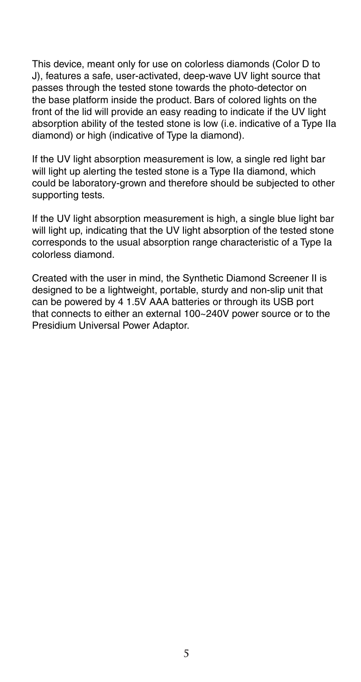This device, meant only for use on colorless diamonds (Color D to J), features a safe, user-activated, deep-wave UV light source that passes through the tested stone towards the photo-detector on the base platform inside the product. Bars of colored lights on the front of the lid will provide an easy reading to indicate if the UV light absorption ability of the tested stone is low (i.e. indicative of a Type IIa diamond) or high (indicative of Type la diamond).

If the UV light absorption measurement is low, a single red light bar will light up alerting the tested stone is a Type IIa diamond, which could be laboratory-grown and therefore should be subjected to other supporting tests.

If the UV light absorption measurement is high, a single blue light bar will light up, indicating that the UV light absorption of the tested stone corresponds to the usual absorption range characteristic of a Type Ia colorless diamond.

Created with the user in mind, the Synthetic Diamond Screener II is designed to be a lightweight, portable, sturdy and non-slip unit that can be powered by 4 1.5V AAA batteries or through its USB port that connects to either an external 100~240V power source or to the Presidium Universal Power Adaptor.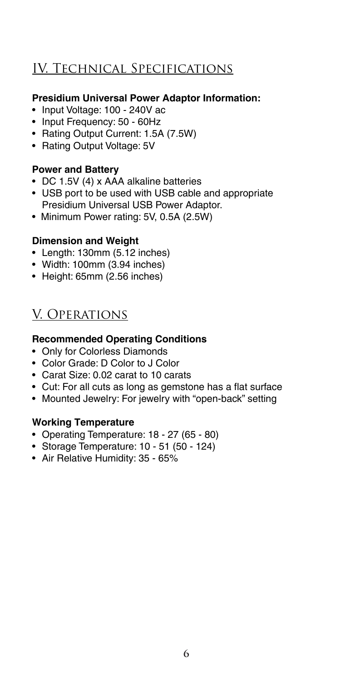### IV. Technical Specifications

#### **Presidium Universal Power Adaptor Information:**

- Input Voltage: 100 240V ac
- Input Frequency: 50 60Hz
- Rating Output Current: 1.5A (7.5W)
- Rating Output Voltage: 5V

#### **Power and Battery**

- DC 1.5V (4) x AAA alkaline batteries
- USB port to be used with USB cable and appropriate Presidium Universal USB Power Adaptor.
- Minimum Power rating: 5V, 0.5A (2.5W)

#### **Dimension and Weight**

- Length: 130mm (5.12 inches)
- Width: 100mm (3.94 inches)
- Height: 65mm (2.56 inches)

### V. Operations

### **Recommended Operating Conditions**

- Only for Colorless Diamonds
- Color Grade: D Color to J Color
- Carat Size: 0.02 carat to 10 carats
- Cut: For all cuts as long as gemstone has a flat surface
- Mounted Jewelry: For jewelry with "open-back" setting

### **Working Temperature**

- Operating Temperature: 18 27 (65 80)
- • Storage Temperature: 10℃ 51℃ (50 124)
- Air Relative Humidity: 35 65%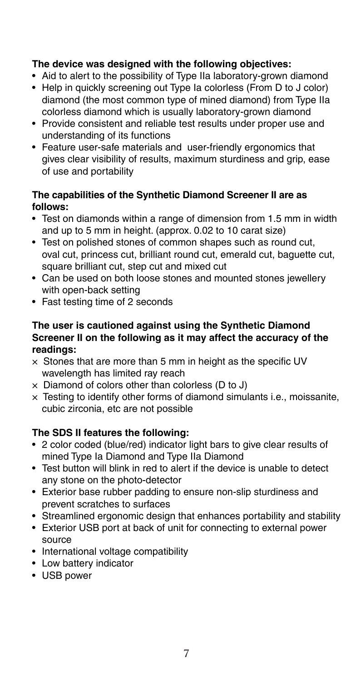#### **The device was designed with the following objectives:**

- Aid to alert to the possibility of Type IIa laboratory-grown diamond
- Help in quickly screening out Type Ia colorless (From D to J color) diamond (the most common type of mined diamond) from Type IIa colorless diamond which is usually laboratory-grown diamond
- Provide consistent and reliable test results under proper use and understanding of its functions
- Feature user-safe materials and user-friendly ergonomics that gives clear visibility of results, maximum sturdiness and grip, ease of use and portability

#### **The capabilities of the Synthetic Diamond Screener II are as follows:**

- Test on diamonds within a range of dimension from 1.5 mm in width and up to 5 mm in height. (approx. 0.02 to 10 carat size)
- Test on polished stones of common shapes such as round cut, oval cut, princess cut, brilliant round cut, emerald cut, baguette cut, square brilliant cut, step cut and mixed cut
- Can be used on both loose stones and mounted stones jewellery with open-back setting
- Fast testing time of 2 seconds

#### **The user is cautioned against using the Synthetic Diamond Screener II on the following as it may affect the accuracy of the readings:**

- $\times$  Stones that are more than 5 mm in height as the specific UV wavelength has limited ray reach
- $\times$  Diamond of colors other than colorless (D to J)
- $\times$  Testing to identify other forms of diamond simulants i.e., moissanite, cubic zirconia, etc are not possible

### **The SDS II features the following:**

- 2 color coded (blue/red) indicator light bars to give clear results of mined Type Ia Diamond and Type IIa Diamond
- Test button will blink in red to alert if the device is unable to detect any stone on the photo-detector
- Exterior base rubber padding to ensure non-slip sturdiness and prevent scratches to surfaces
- Streamlined ergonomic design that enhances portability and stability
- Exterior USB port at back of unit for connecting to external power source
- International voltage compatibility
- Low battery indicator
- USB power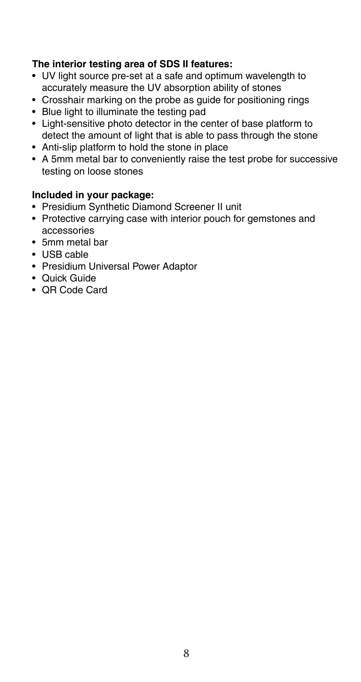#### **The interior testing area of SDS II features:**

- UV light source pre-set at a safe and optimum wavelength to accurately measure the UV absorption ability of stones
- Crosshair marking on the probe as guide for positioning rings
- Blue light to illuminate the testing pad
- Light-sensitive photo detector in the center of base platform to detect the amount of light that is able to pass through the stone
- Anti-slip platform to hold the stone in place
- A 5mm metal bar to conveniently raise the test probe for successive testing on loose stones

### **Included in your package:**

- Presidium Synthetic Diamond Screener II unit
- Protective carrying case with interior pouch for gemstones and accessories
- 5mm metal bar
- USB cable
- Presidium Universal Power Adaptor
- Quick Guide
- QR Code Card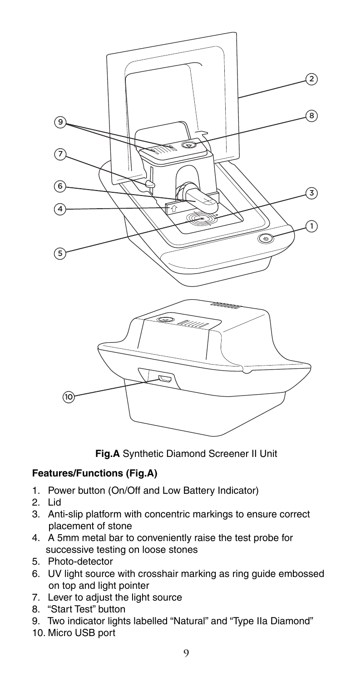

**Fig.A** Synthetic Diamond Screener II Unit

### **Features/Functions (Fig.A)**

- 1. Power button (On/Off and Low Battery Indicator)
- 2. Lid
- 3. Anti-slip platform with concentric markings to ensure correct placement of stone
- 4. A 5mm metal bar to conveniently raise the test probe for successive testing on loose stones
- 5. Photo-detector
- 6. UV light source with crosshair marking as ring guide embossed on top and light pointer
- 7. Lever to adjust the light source
- 8. "Start Test" button
- 9. Two indicator lights labelled "Natural" and "Type IIa Diamond"
- 10. Micro USB port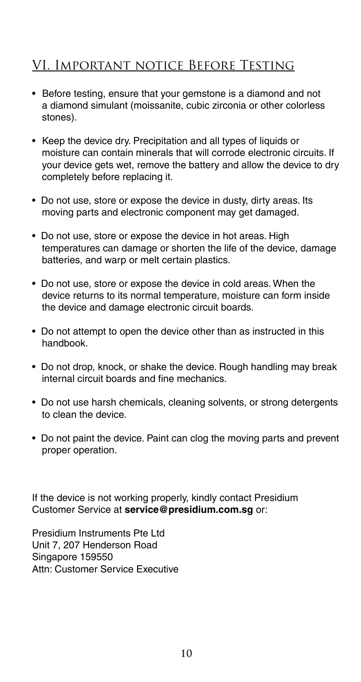### VI. Important notice Before Testing

- Before testing, ensure that your gemstone is a diamond and not a diamond simulant (moissanite, cubic zirconia or other colorless stones).
- Keep the device dry. Precipitation and all types of liquids or moisture can contain minerals that will corrode electronic circuits. If your device gets wet, remove the battery and allow the device to dry completely before replacing it.
- Do not use, store or expose the device in dusty, dirty areas. Its moving parts and electronic component may get damaged.
- Do not use, store or expose the device in hot areas. High temperatures can damage or shorten the life of the device, damage batteries, and warp or melt certain plastics.
- Do not use, store or expose the device in cold areas. When the device returns to its normal temperature, moisture can form inside the device and damage electronic circuit boards.
- Do not attempt to open the device other than as instructed in this handbook.
- Do not drop, knock, or shake the device. Rough handling may break internal circuit boards and fine mechanics.
- Do not use harsh chemicals, cleaning solvents, or strong detergents to clean the device.
- Do not paint the device. Paint can clog the moving parts and prevent proper operation.

If the device is not working properly, kindly contact Presidium Customer Service at **service@presidium.com.sg** or:

Presidium Instruments Pte Ltd Unit 7, 207 Henderson Road Singapore 159550 Attn: Customer Service Executive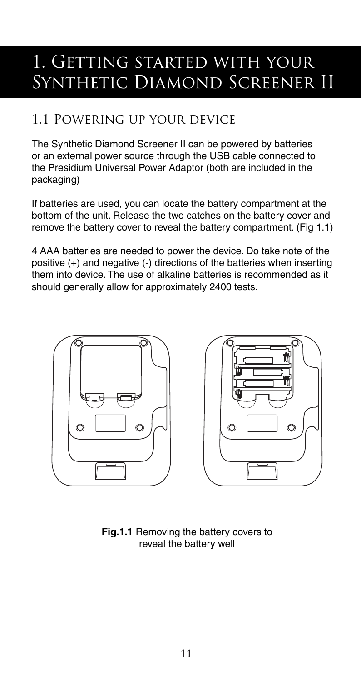## 1. Getting started with your Synthetic Diamond Screener II

### 1.1 Powering up your device

The Synthetic Diamond Screener II can be powered by batteries or an external power source through the USB cable connected to the Presidium Universal Power Adaptor (both are included in the packaging)

If batteries are used, you can locate the battery compartment at the bottom of the unit. Release the two catches on the battery cover and remove the battery cover to reveal the battery compartment. (Fig 1.1)

4 AAA batteries are needed to power the device. Do take note of the positive (+) and negative (-) directions of the batteries when inserting them into device. The use of alkaline batteries is recommended as it should generally allow for approximately 2400 tests.



**Fig.1.1** Removing the battery covers to reveal the battery well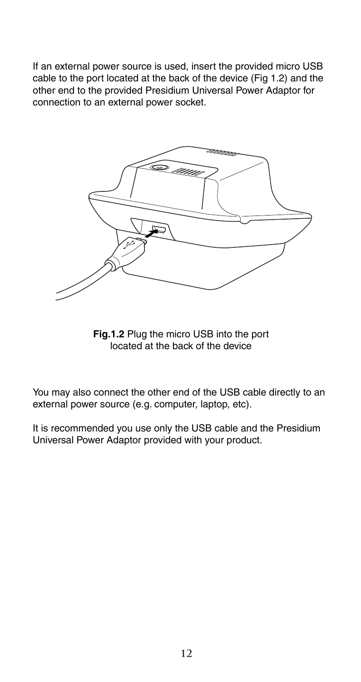If an external power source is used, insert the provided micro USB cable to the port located at the back of the device (Fig 1.2) and the other end to the provided Presidium Universal Power Adaptor for connection to an external power socket.



**Fig.1.2** Plug the micro USB into the port located at the back of the device

You may also connect the other end of the USB cable directly to an external power source (e.g. computer, laptop, etc).

It is recommended you use only the USB cable and the Presidium Universal Power Adaptor provided with your product.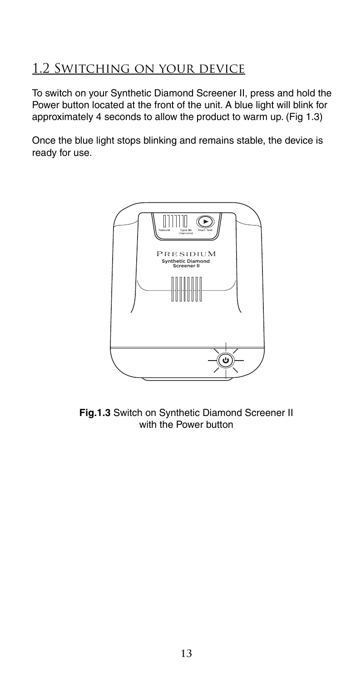### 1.2 Switching on your device

To switch on your Synthetic Diamond Screener II, press and hold the Power button located at the front of the unit. A blue light will blink for approximately 4 seconds to allow the product to warm up. (Fig 1.3)

Once the blue light stops blinking and remains stable, the device is ready for use.



**Fig.1.3** Switch on Synthetic Diamond Screener II with the Power button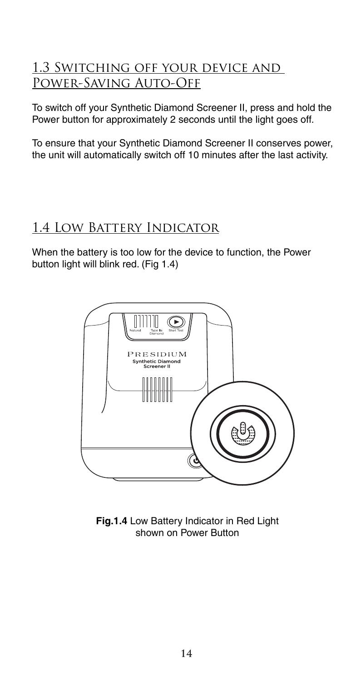### 1.3 Switching off your device and Power-Saving Auto-Off

To switch off your Synthetic Diamond Screener II, press and hold the Power button for approximately 2 seconds until the light goes off.

To ensure that your Synthetic Diamond Screener II conserves power, the unit will automatically switch off 10 minutes after the last activity.

### 1.4 Low Battery Indicator

When the battery is too low for the device to function, the Power button light will blink red. (Fig 1.4)



**Fig.1.4** Low Battery Indicator in Red Light shown on Power Button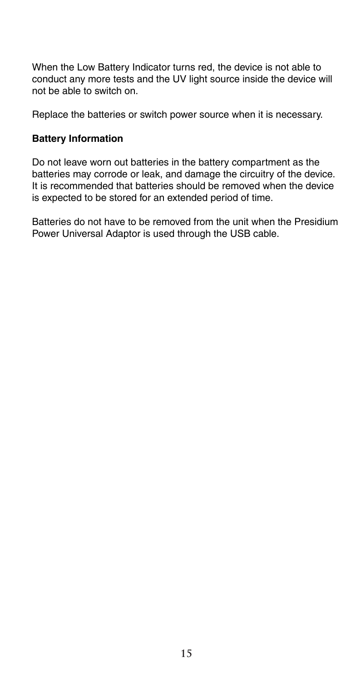When the Low Battery Indicator turns red, the device is not able to conduct any more tests and the UV light source inside the device will not be able to switch on.

Replace the batteries or switch power source when it is necessary.

#### **Battery Information**

Do not leave worn out batteries in the battery compartment as the batteries may corrode or leak, and damage the circuitry of the device. It is recommended that batteries should be removed when the device is expected to be stored for an extended period of time.

Batteries do not have to be removed from the unit when the Presidium Power Universal Adaptor is used through the USB cable.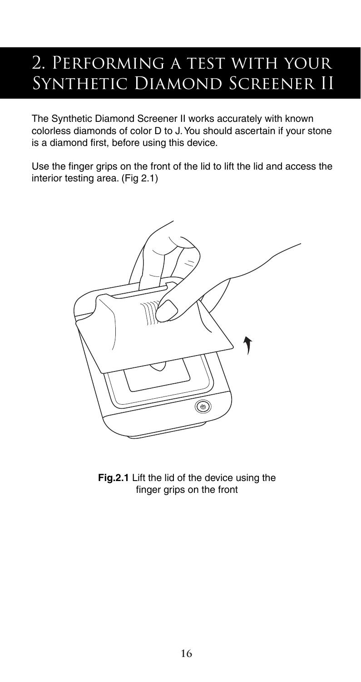## 2. PERFORMING A TEST WITH YOUR SYNTHETIC DIAMOND SCREENER II

The Synthetic Diamond Screener II works accurately with known colorless diamonds of color D to J. You should ascertain if your stone is a diamond first, before using this device.

Use the finger grips on the front of the lid to lift the lid and access the interior testing area. (Fig 2.1)



**Fig.2.1** Lift the lid of the device using the finger grips on the front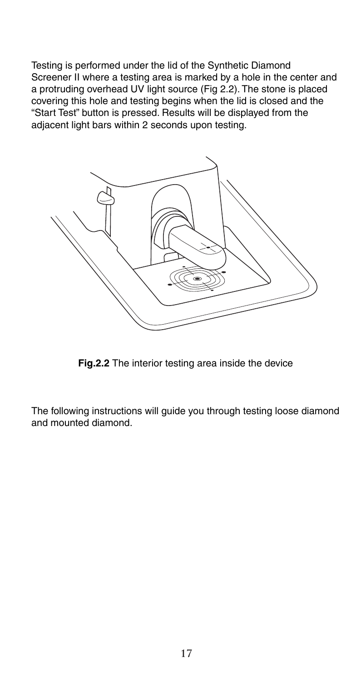Testing is performed under the lid of the Synthetic Diamond Screener II where a testing area is marked by a hole in the center and a protruding overhead UV light source (Fig 2.2). The stone is placed covering this hole and testing begins when the lid is closed and the "Start Test" button is pressed. Results will be displayed from the adjacent light bars within 2 seconds upon testing.



**Fig.2.2** The interior testing area inside the device

The following instructions will guide you through testing loose diamond and mounted diamond.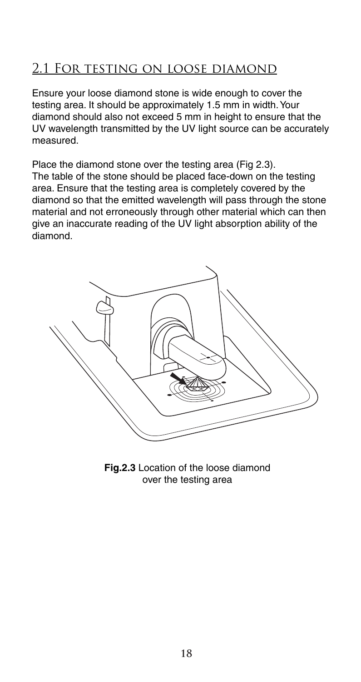### 2.1 For testing on loose diamond

Ensure your loose diamond stone is wide enough to cover the testing area. It should be approximately 1.5 mm in width. Your diamond should also not exceed 5 mm in height to ensure that the UV wavelength transmitted by the UV light source can be accurately measured.

Place the diamond stone over the testing area (Fig 2.3). The table of the stone should be placed face-down on the testing area. Ensure that the testing area is completely covered by the diamond so that the emitted wavelength will pass through the stone material and not erroneously through other material which can then give an inaccurate reading of the UV light absorption ability of the diamond.



**Fig.2.3** Location of the loose diamond over the testing area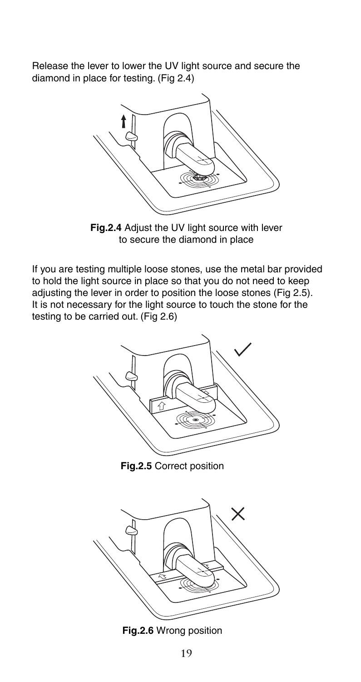Release the lever to lower the UV light source and secure the diamond in place for testing. (Fig 2.4)



**Fig.2.4** Adjust the UV light source with lever to secure the diamond in place

If you are testing multiple loose stones, use the metal bar provided to hold the light source in place so that you do not need to keep adjusting the lever in order to position the loose stones (Fig 2.5). It is not necessary for the light source to touch the stone for the testing to be carried out. (Fig 2.6)



**Fig.2.5** Correct position



**Fig.2.6** Wrong position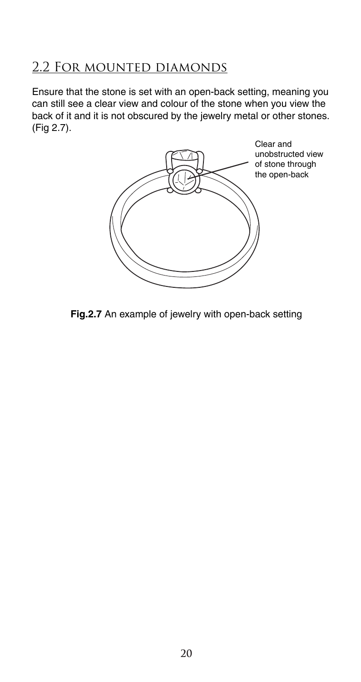### 2.2 For mounted diamonds

Ensure that the stone is set with an open-back setting, meaning you can still see a clear view and colour of the stone when you view the back of it and it is not obscured by the jewelry metal or other stones. (Fig 2.7).



**Fig.2.7** An example of jewelry with open-back setting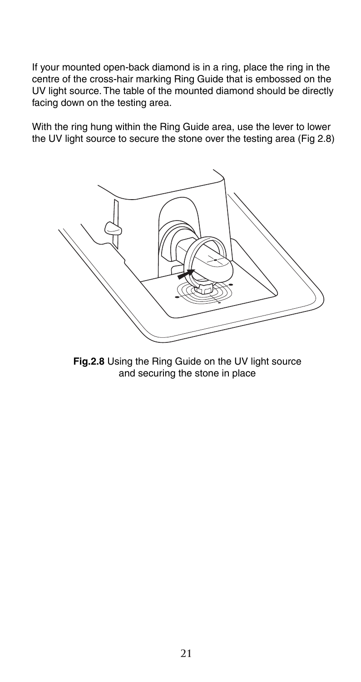If your mounted open-back diamond is in a ring, place the ring in the centre of the cross-hair marking Ring Guide that is embossed on the UV light source. The table of the mounted diamond should be directly facing down on the testing area.

With the ring hung within the Ring Guide area, use the lever to lower the UV light source to secure the stone over the testing area (Fig 2.8)



**Fig.2.8** Using the Ring Guide on the UV light source and securing the stone in place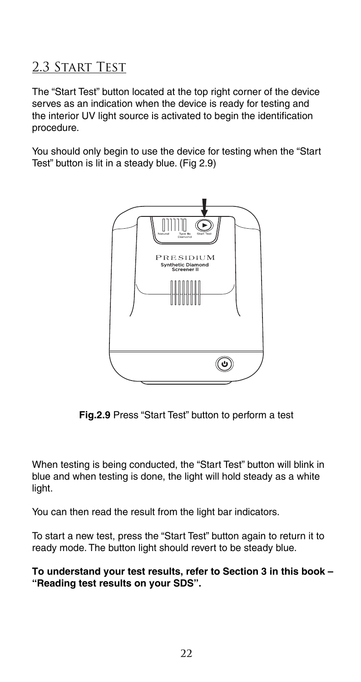### 2.3 Start Test

The "Start Test" button located at the top right corner of the device serves as an indication when the device is ready for testing and the interior UV light source is activated to begin the identification procedure.

You should only begin to use the device for testing when the "Start Test" button is lit in a steady blue. (Fig 2.9)



**Fig.2.9** Press "Start Test" button to perform a test

When testing is being conducted, the "Start Test" button will blink in blue and when testing is done, the light will hold steady as a white light.

You can then read the result from the light bar indicators.

To start a new test, press the "Start Test" button again to return it to ready mode. The button light should revert to be steady blue.

**To understand your test results, refer to Section 3 in this book – "Reading test results on your SDS".**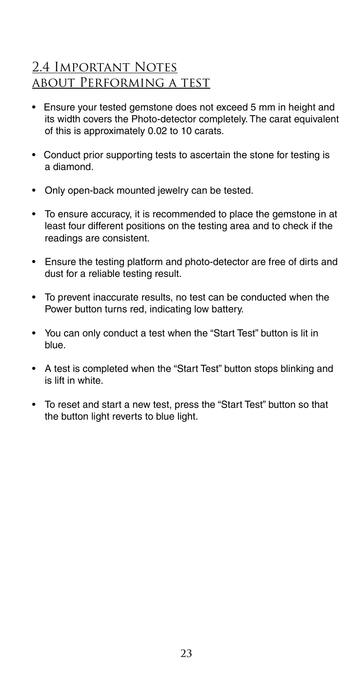### 2.4 Important Notes about Performing a test

- Ensure your tested gemstone does not exceed 5 mm in height and its width covers the Photo-detector completely. The carat equivalent of this is approximately 0.02 to 10 carats.
- Conduct prior supporting tests to ascertain the stone for testing is a diamond.
- Only open-back mounted jewelry can be tested.
- To ensure accuracy, it is recommended to place the gemstone in at least four different positions on the testing area and to check if the readings are consistent.
- Ensure the testing platform and photo-detector are free of dirts and dust for a reliable testing result.
- To prevent inaccurate results, no test can be conducted when the Power button turns red, indicating low battery.
- You can only conduct a test when the "Start Test" button is lit in blue.
- A test is completed when the "Start Test" button stops blinking and is lift in white.
- To reset and start a new test, press the "Start Test" button so that the button light reverts to blue light.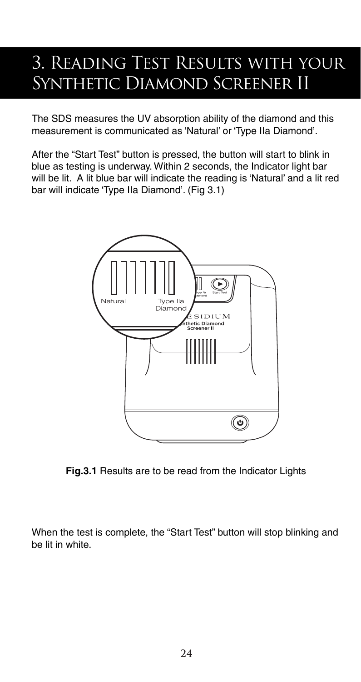## 3. Reading Test Results with your Synthetic Diamond Screener II

The SDS measures the UV absorption ability of the diamond and this measurement is communicated as 'Natural' or 'Type IIa Diamond'.

After the "Start Test" button is pressed, the button will start to blink in blue as testing is underway. Within 2 seconds, the Indicator light bar will be lit. A lit blue bar will indicate the reading is 'Natural' and a lit red bar will indicate 'Type IIa Diamond'. (Fig 3.1)



**Fig.3.1** Results are to be read from the Indicator Lights

When the test is complete, the "Start Test" button will stop blinking and be lit in white.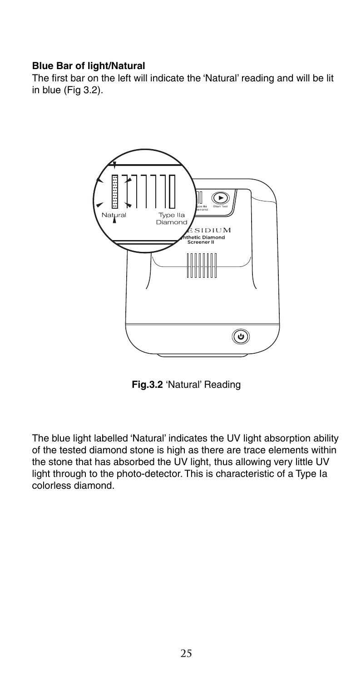#### **Blue Bar of light/Natural**

The first bar on the left will indicate the 'Natural' reading and will be lit in blue (Fig 3.2).



**Fig.3.2** 'Natural' Reading

The blue light labelled 'Natural' indicates the UV light absorption ability of the tested diamond stone is high as there are trace elements within the stone that has absorbed the UV light, thus allowing very little UV light through to the photo-detector. This is characteristic of a Type Ia colorless diamond.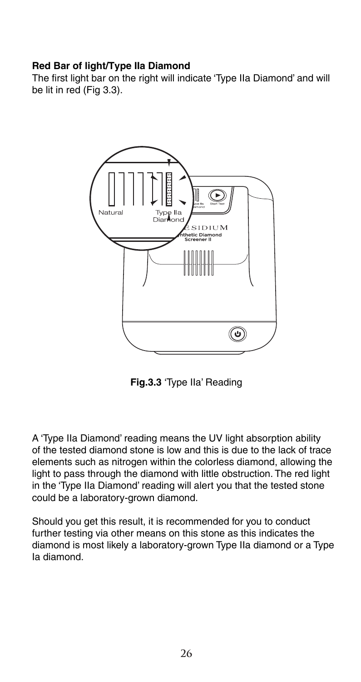#### **Red Bar of light/Type IIa Diamond**

The first light bar on the right will indicate 'Type IIa Diamond' and will be lit in red (Fig 3.3).



**Fig.3.3** 'Type IIa' Reading

A 'Type IIa Diamond' reading means the UV light absorption ability of the tested diamond stone is low and this is due to the lack of trace elements such as nitrogen within the colorless diamond, allowing the light to pass through the diamond with little obstruction. The red light in the 'Type IIa Diamond' reading will alert you that the tested stone could be a laboratory-grown diamond.

Should you get this result, it is recommended for you to conduct further testing via other means on this stone as this indicates the diamond is most likely a laboratory-grown Type IIa diamond or a Type Ia diamond.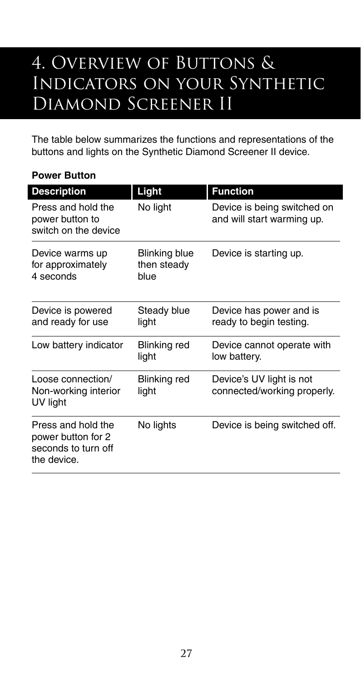## 4. OVERVIEW OF BUTTONS & Indicators on your Synthetic Diamond Screener II

The table below summarizes the functions and representations of the buttons and lights on the Synthetic Diamond Screener II device.

### **Power Button**

I

| <b>Description</b>                                                             | Light                                | <b>Function</b>                                           |
|--------------------------------------------------------------------------------|--------------------------------------|-----------------------------------------------------------|
| Press and hold the<br>power button to<br>switch on the device                  | No light                             | Device is being switched on<br>and will start warming up. |
| Device warms up<br>for approximately<br>4 seconds                              | Blinking blue<br>then steady<br>blue | Device is starting up.                                    |
| Device is powered<br>and ready for use                                         | Steady blue<br>light                 | Device has power and is<br>ready to begin testing.        |
| Low battery indicator                                                          | <b>Blinking red</b><br>light         | Device cannot operate with<br>low battery.                |
| Loose connection/<br>Non-working interior<br>UV light                          | Blinking red<br>light                | Device's UV light is not<br>connected/working properly.   |
| Press and hold the<br>power button for 2<br>seconds to turn off<br>the device. | No lights                            | Device is being switched off.                             |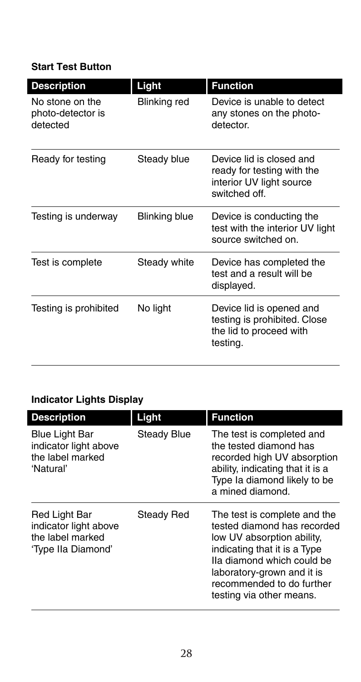### **Start Test Button**

| <b>Description</b>                               | Light         | <b>Function</b>                                                                                    |
|--------------------------------------------------|---------------|----------------------------------------------------------------------------------------------------|
| No stone on the<br>photo-detector is<br>detected | Blinking red  | Device is unable to detect<br>any stones on the photo-<br>detector.                                |
| Ready for testing                                | Steady blue   | Device lid is closed and<br>ready for testing with the<br>interior UV light source<br>switched off |
| Testing is underway                              | Blinking blue | Device is conducting the<br>test with the interior UV light<br>source switched on.                 |
| Test is complete                                 | Steady white  | Device has completed the<br>test and a result will be<br>displayed.                                |
| Testing is prohibited                            | No light      | Device lid is opened and<br>testing is prohibited. Close<br>the lid to proceed with<br>testing.    |

### **Indicator Lights Display**

| <b>Description</b>                                                               | Light             | <b>Function</b>                                                                                                                                                                                                                                |
|----------------------------------------------------------------------------------|-------------------|------------------------------------------------------------------------------------------------------------------------------------------------------------------------------------------------------------------------------------------------|
| <b>Blue Light Bar</b><br>indicator light above<br>the label marked<br>'Natural'  | Steady Blue       | The test is completed and<br>the tested diamond has<br>recorded high UV absorption<br>ability, indicating that it is a<br>Type Ia diamond likely to be<br>a mined diamond.                                                                     |
| Red Light Bar<br>indicator light above<br>the label marked<br>'Type IIa Diamond' | <b>Steady Red</b> | The test is complete and the<br>tested diamond has recorded<br>low UV absorption ability,<br>indicating that it is a Type<br>Ila diamond which could be<br>laboratory-grown and it is<br>recommended to do further<br>testing via other means. |